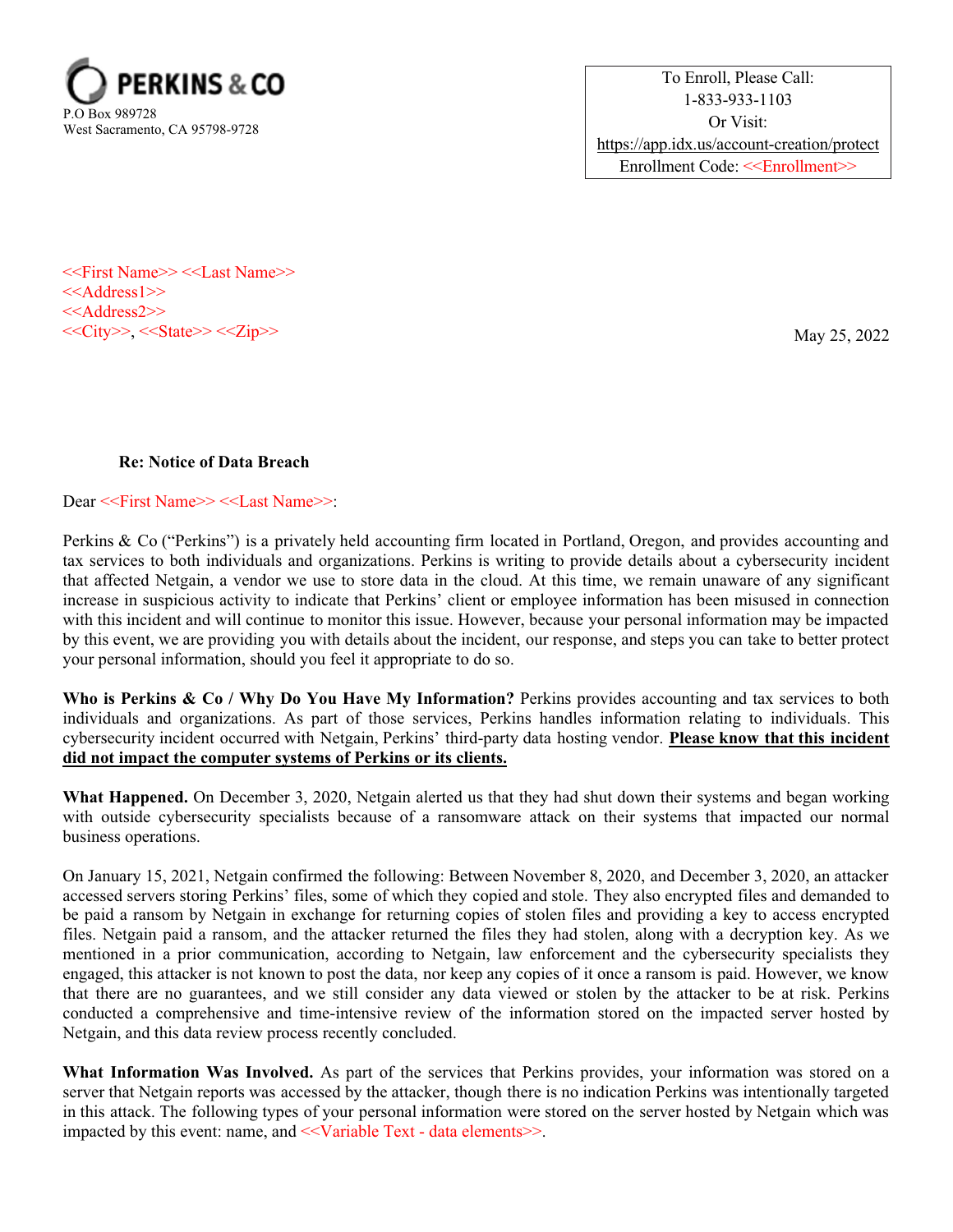

To Enroll, Please Call: 1-833-933-1103 Or Visit: https://app.idx.us/account-creation/protect Enrollment Code: <<Enrollment>>

<<First Name>> <<Last Name>> <<Address1>> <<Address2>>  $<<$ City>>,  $<<$ State>> $<<$ Zip>>

May 25, 2022

# Re: Notice of Data Breach

Dear <<First Name>> <<Last Name>>:

Perkins & Co ("Perkins") is a privately held accounting firm located in Portland, Oregon, and provides accounting and tax services to both individuals and organizations. Perkins is writing to provide details about a cybersecurity incident that affected Netgain, a vendor we use to store data in the cloud. At this time, we remain unaware of any significant increase in suspicious activity to indicate that Perkins' client or employee information has been misused in connection with this incident and will continue to monitor this issue. However, because your personal information may be impacted by this event, we are providing you with details about the incident, our response, and steps you can take to better protect your personal information, should you feel it appropriate to do so.

Who is Perkins  $\&$  Co / Why Do You Have My Information? Perkins provides accounting and tax services to both individuals and organizations. As part of those services, Perkins handles information relating to individuals. This cybersecurity incident occurred with Netgain, Perkins' third-party data hosting vendor. Please know that this incident did not impact the computer systems of Perkins or its clients.

What Happened. On December 3, 2020, Netgain alerted us that they had shut down their systems and began working with outside cybersecurity specialists because of a ransomware attack on their systems that impacted our normal business operations.

On January 15, 2021, Netgain confirmed the following: Between November 8, 2020, and December 3, 2020, an attacker accessed servers storing Perkins' files, some of which they copied and stole. They also encrypted files and demanded to be paid a ransom by Netgain in exchange for returning copies of stolen files and providing a key to access encrypted files. Netgain paid a ransom, and the attacker returned the files they had stolen, along with a decryption key. As we mentioned in a prior communication, according to Netgain, law enforcement and the cybersecurity specialists they engaged, this attacker is not known to post the data, nor keep any copies of it once a ransom is paid. However, we know that there are no guarantees, and we still consider any data viewed or stolen by the attacker to be at risk. Perkins conducted a comprehensive and time-intensive review of the information stored on the impacted server hosted by Netgain, and this data review process recently concluded.

What Information Was Involved. As part of the services that Perkins provides, your information was stored on a server that Netgain reports was accessed by the attacker, though there is no indication Perkins was intentionally targeted in this attack. The following types of your personal information were stored on the server hosted by Netgain which was impacted by this event: name, and <<Variable Text - data elements>>.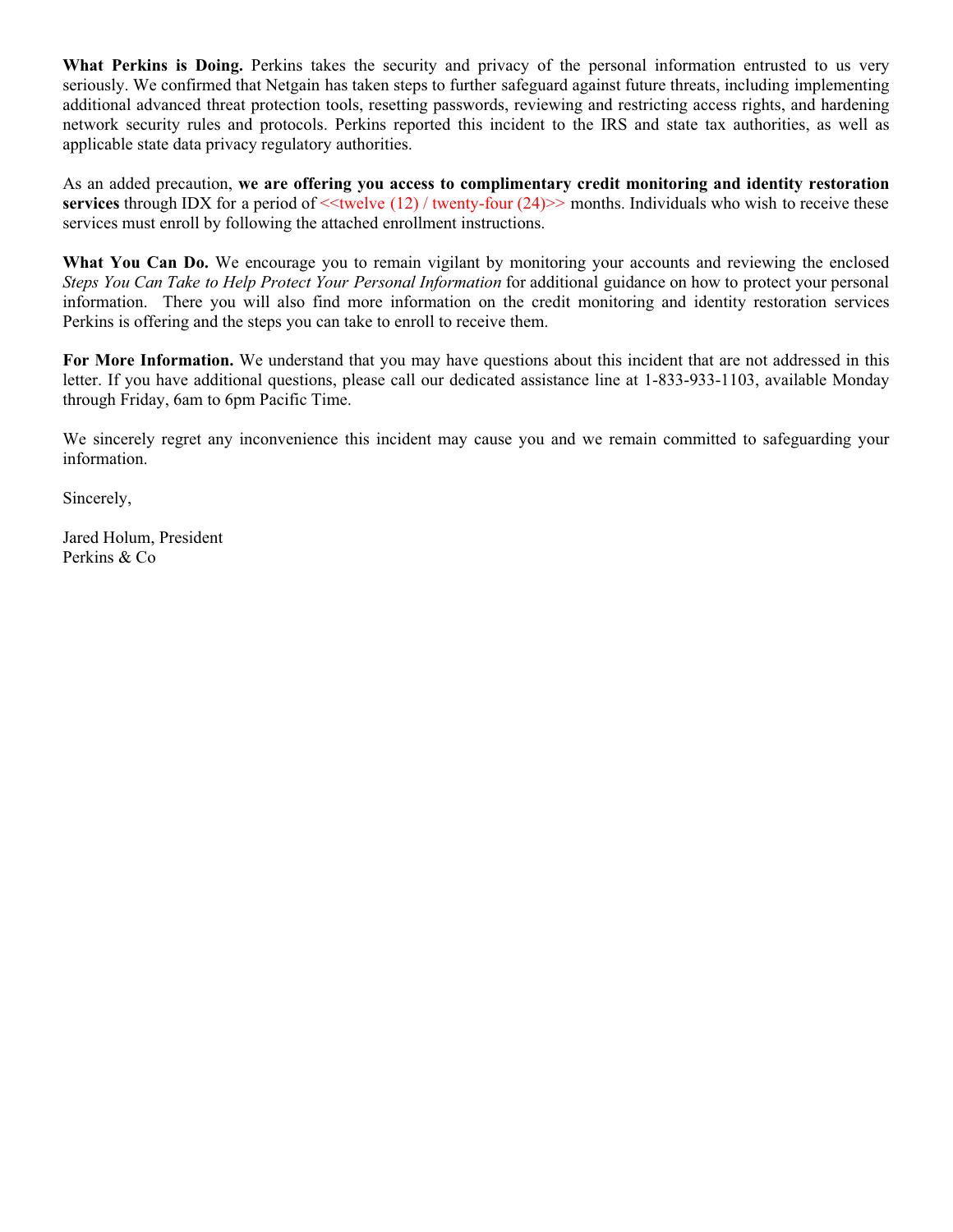What Perkins is Doing. Perkins takes the security and privacy of the personal information entrusted to us very seriously. We confirmed that Netgain has taken steps to further safeguard against future threats, including implementing additional advanced threat protection tools, resetting passwords, reviewing and restricting access rights, and hardening network security rules and protocols. Perkins reported this incident to the IRS and state tax authorities, as well as applicable state data privacy regulatory authorities.

As an added precaution, we are offering you access to complimentary credit monitoring and identity restoration services through IDX for a period of  $\leq$ twelve (12) / twenty-four (24) $\geq$  months. Individuals who wish to receive these services must enroll by following the attached enrollment instructions.

What You Can Do. We encourage you to remain vigilant by monitoring your accounts and reviewing the enclosed Steps You Can Take to Help Protect Your Personal Information for additional guidance on how to protect your personal information. There you will also find more information on the credit monitoring and identity restoration services Perkins is offering and the steps you can take to enroll to receive them.

For More Information. We understand that you may have questions about this incident that are not addressed in this letter. If you have additional questions, please call our dedicated assistance line at 1-833-933-1103, available Monday through Friday, 6am to 6pm Pacific Time.

We sincerely regret any inconvenience this incident may cause you and we remain committed to safeguarding your information.

Sincerely,

Jared Holum, President Perkins & Co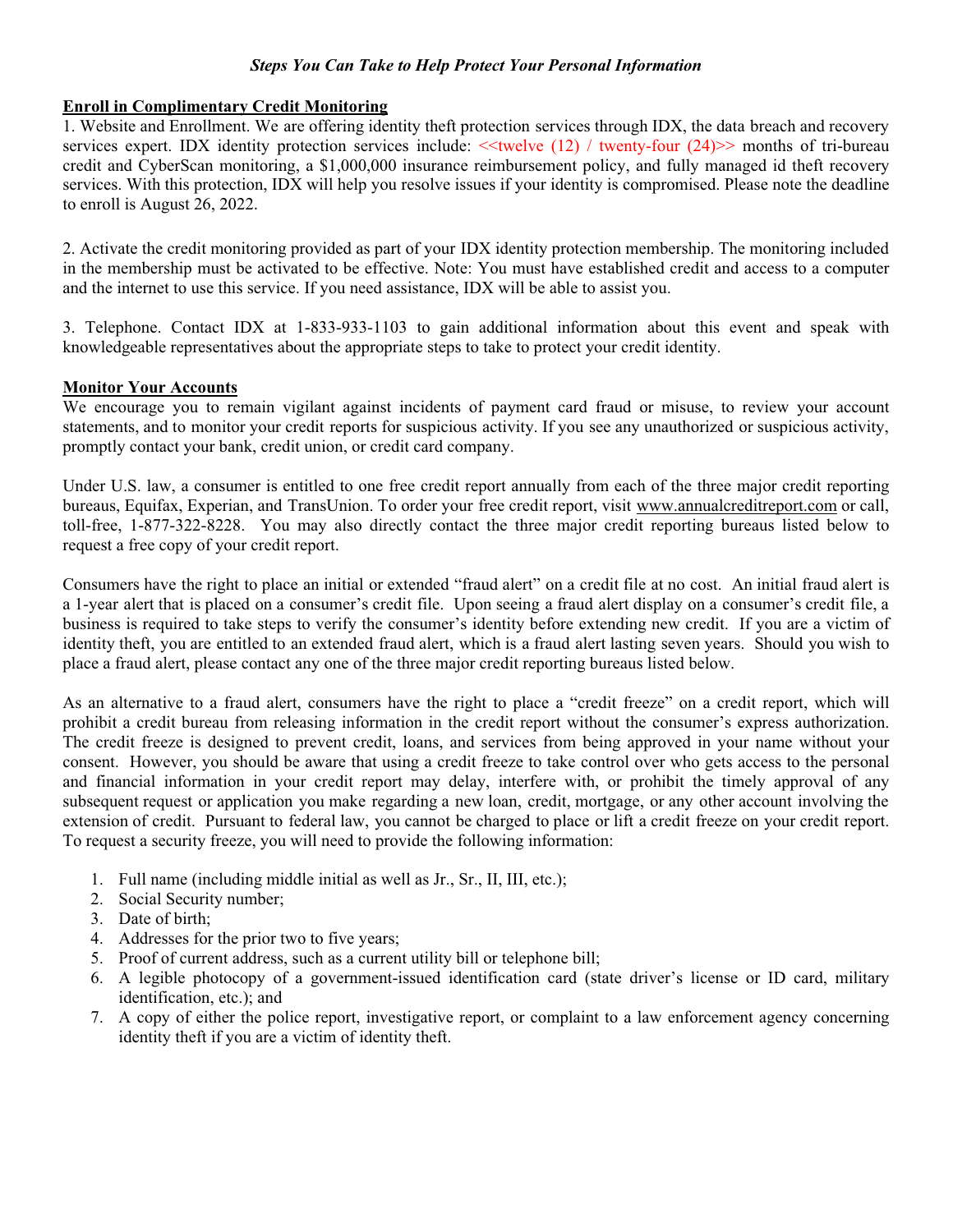### Steps You Can Take to Help Protect Your Personal Information

## Enroll in Complimentary Credit Monitoring

1. Website and Enrollment. We are offering identity theft protection services through IDX, the data breach and recovery services expert. IDX identity protection services include:  $\ll$ twelve (12) / twenty-four (24) >> months of tri-bureau credit and CyberScan monitoring, a \$1,000,000 insurance reimbursement policy, and fully managed id theft recovery services. With this protection, IDX will help you resolve issues if your identity is compromised. Please note the deadline to enroll is August 26, 2022.

2. Activate the credit monitoring provided as part of your IDX identity protection membership. The monitoring included in the membership must be activated to be effective. Note: You must have established credit and access to a computer and the internet to use this service. If you need assistance, IDX will be able to assist you.

3. Telephone. Contact IDX at 1-833-933-1103 to gain additional information about this event and speak with knowledgeable representatives about the appropriate steps to take to protect your credit identity.

### Monitor Your Accounts

We encourage you to remain vigilant against incidents of payment card fraud or misuse, to review your account statements, and to monitor your credit reports for suspicious activity. If you see any unauthorized or suspicious activity, promptly contact your bank, credit union, or credit card company.

Under U.S. law, a consumer is entitled to one free credit report annually from each of the three major credit reporting bureaus, Equifax, Experian, and TransUnion. To order your free credit report, visit www.annualcreditreport.com or call, toll-free, 1-877-322-8228. You may also directly contact the three major credit reporting bureaus listed below to request a free copy of your credit report.

Consumers have the right to place an initial or extended "fraud alert" on a credit file at no cost. An initial fraud alert is a 1-year alert that is placed on a consumer's credit file. Upon seeing a fraud alert display on a consumer's credit file, a business is required to take steps to verify the consumer's identity before extending new credit. If you are a victim of identity theft, you are entitled to an extended fraud alert, which is a fraud alert lasting seven years. Should you wish to place a fraud alert, please contact any one of the three major credit reporting bureaus listed below.

As an alternative to a fraud alert, consumers have the right to place a "credit freeze" on a credit report, which will prohibit a credit bureau from releasing information in the credit report without the consumer's express authorization. The credit freeze is designed to prevent credit, loans, and services from being approved in your name without your consent. However, you should be aware that using a credit freeze to take control over who gets access to the personal and financial information in your credit report may delay, interfere with, or prohibit the timely approval of any subsequent request or application you make regarding a new loan, credit, mortgage, or any other account involving the extension of credit. Pursuant to federal law, you cannot be charged to place or lift a credit freeze on your credit report. To request a security freeze, you will need to provide the following information:

- 1. Full name (including middle initial as well as Jr., Sr., II, III, etc.);
- 2. Social Security number;
- 3. Date of birth;
- 4. Addresses for the prior two to five years;
- 5. Proof of current address, such as a current utility bill or telephone bill;
- 6. A legible photocopy of a government-issued identification card (state driver's license or ID card, military identification, etc.); and
- 7. A copy of either the police report, investigative report, or complaint to a law enforcement agency concerning identity theft if you are a victim of identity theft.